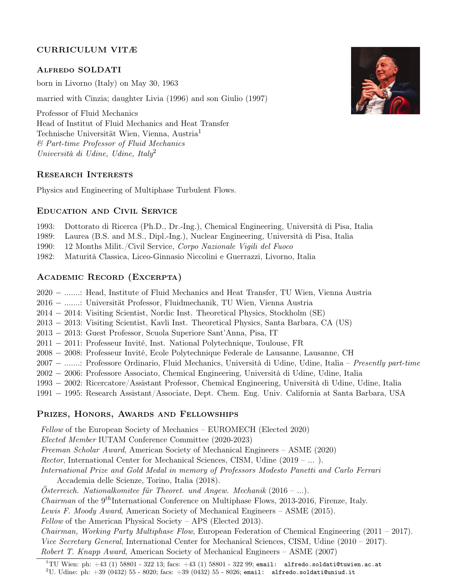# CURRICULUM VITÆ

# Alfredo SOLDATI

born in Livorno (Italy) on May 30, 1963

married with Cinzia; daughter Livia (1996) and son Giulio (1997)

Professor of Fluid Mechanics Head of Institut of Fluid Mechanics and Heat Transfer Technische Universität Wien, Vienna, Austria<sup>1</sup> & Part-time Professor of Fluid Mechanics Università di Udine, Udine, Italy<sup>2</sup>

### Research Interests

Physics and Engineering of Multiphase Turbulent Flows.

# Education and Civil Service

- 1993: Dottorato di Ricerca (Ph.D., Dr.-Ing.), Chemical Engineering, Università di Pisa, Italia
- 1989: Laurea (B.S. and M.S., Dipl.-Ing.), Nuclear Engineering, Università di Pisa, Italia
- 1990: 12 Months Milit./Civil Service, Corpo Nazionale Vigili del Fuoco
- 1982: Maturità Classica, Liceo-Ginnasio Niccolini e Guerrazzi, Livorno, Italia

# Academic Record (Excerpta)

- 2020 − .......: Head, Institute of Fluid Mechanics and Heat Transfer, TU Wien, Vienna Austria
- 2016 − .......: Universität Professor, Fluidmechanik, TU Wien, Vienna Austria
- 2014 − 2014: Visiting Scientist, Nordic Inst. Theoretical Physics, Stockholm (SE)
- 2013 − 2013: Visiting Scientist, Kavli Inst. Theoretical Physics, Santa Barbara, CA (US)
- 2013 − 2013: Guest Professor, Scuola Superiore Sant'Anna, Pisa, IT
- 2011 − 2011: Professeur Invité, Inst. National Polytechnique, Toulouse, FR
- 2008 − 2008: Professeur Invité, Ecole Polytechnique Federale de Lausanne, Lausanne, CH
- 2007 − .......: Professore Ordinario, Fluid Mechanics, Università di Udine, Udine, Italia Presently part-time
- 2002 − 2006: Professore Associato, Chemical Engineering, Università di Udine, Udine, Italia
- 1993 − 2002: Ricercatore/Assistant Professor, Chemical Engineering, Università di Udine, Udine, Italia
- 1991 − 1995: Research Assistant/Associate, Dept. Chem. Eng. Univ. California at Santa Barbara, USA

# Prizes, Honors, Awards and Fellowships

Fellow of the European Society of Mechanics – EUROMECH (Elected 2020) Elected Member IUTAM Conference Committee (2020-2023) Freeman Scholar Award, American Society of Mechanical Engineers – ASME (2020) Rector, International Center for Mechanical Sciences, CISM, Udine (2019 – ... ). International Prize and Gold Medal in memory of Professors Modesto Panetti and Carlo Ferrari Accademia delle Scienze, Torino, Italia (2018).  $Österreich. Nationalkomitee für Theoret. und A\n\n $hq\acute{e}lm\acute{e}lm\acute{e}lm\acute{e}lm\acute{e}lm\acute{e}lm\acute{e}lm\acute{e}lm\acute{e}lm\acute{e}lm\acute{e}lm\acute{e}lm\acute{e}lm\acute{e}lm\acute{e}lm\acute{e}lm\acute{e}lm\acute{e}lm\acute{e}lm\acute{e}lm\acute{e}lm\acute{e}l\acute{e}lm\acute{e}l\acute{e}lm\acute{e}l\acute{e}lm\acute{e}l\acute{e}lm\$$ *Chairman* of the  $9<sup>th</sup>$ International Conference on Multiphase Flows, 2013-2016, Firenze, Italy. Lewis F. Moody Award, American Society of Mechanical Engineers – ASME (2015). Fellow of the American Physical Society – APS (Elected 2013). *Chairman, Working Party Multiphase Flow, European Federation of Chemical Engineering (2011 – 2017).* 

Vice Secretary General, International Center for Mechanical Sciences, CISM, Udine (2010 – 2017). Robert T. Knapp Award, American Society of Mechanical Engineers – ASME (2007)



 $^{1}$ TU Wien: ph:  $+43$  (1) 58801 - 322 13; facs:  $+43$  (1) 58801 - 322 99; email: alfredo.soldati@tuwien.ac.at

<sup>&</sup>lt;sup>2</sup>U. Udine: ph:  $+39$  (0432) 55 - 8020; facs:  $+39$  (0432) 55 - 8026; email: alfredo.soldati@uniud.it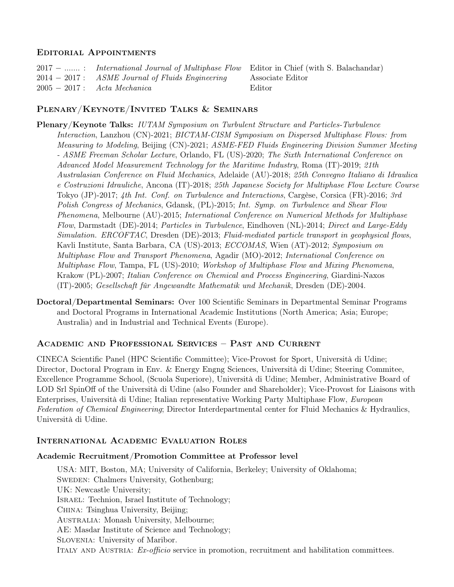### Editorial Appointments

| 2017 -  : International Journal of Multiphase Flow Editor in Chief (with S. Balachandar) |        |
|------------------------------------------------------------------------------------------|--------|
| $2014 - 2017$ : ASME Journal of Fluids Engineering Associate Editor                      |        |
| $2005-2017$ : Acta Mechanica                                                             | Editor |

# Plenary/Keynote/Invited Talks & Seminars

Plenary/Keynote Talks: IUTAM Symposium on Turbulent Structure and Particles-Turbulence Interaction, Lanzhou (CN)-2021; BICTAM-CISM Symposium on Dispersed Multiphase Flows: from Measuring to Modeling, Beijing (CN)-2021; ASME-FED Fluids Engineering Division Summer Meeting - ASME Freeman Scholar Lecture, Orlando, FL (US)-2020; The Sixth International Conference on Advanced Model Measurement Technology for the Maritime Industry, Roma (IT)-2019; 21th Australasian Conference on Fluid Mechanics, Adelaide (AU)-2018; 25th Convegno Italiano di Idraulica e Costruzioni Idrauliche, Ancona (IT)-2018; 25th Japanese Society for Multiphase Flow Lecture Course Tokyo (JP)-2017; 4th Int. Conf. on Turbulence and Interactions, Cargèse, Corsica (FR)-2016; 3rd Polish Congress of Mechanics, Gdansk, (PL)-2015; Int. Symp. on Turbulence and Shear Flow Phenomena, Melbourne (AU)-2015; International Conference on Numerical Methods for Multiphase Flow, Darmstadt (DE)-2014; Particles in Turbulence, Eindhoven (NL)-2014; Direct and Large-Eddy Simulation. ERCOFTAC, Dresden (DE)-2013; Fluid-mediated particle transport in geophysical flows, Kavli Institute, Santa Barbara, CA (US)-2013; ECCOMAS, Wien (AT)-2012; Symposium on Multiphase Flow and Transport Phenomena, Agadir (MO)-2012; International Conference on Multiphase Flow, Tampa, FL (US)-2010; Workshop of Multiphase Flow and Mixing Phenomena, Krakow (PL)-2007; Italian Conference on Chemical and Process Engineering, Giardini-Naxos (IT)-2005; Gesellschaft fûr Angewandte Mathematik und Mechanik, Dresden (DE)-2004.

Doctoral/Departmental Seminars: Over 100 Scientific Seminars in Departmental Seminar Programs and Doctoral Programs in International Academic Institutions (North America; Asia; Europe; Australia) and in Industrial and Technical Events (Europe).

# Academic and Professional Services – Past and Current

CINECA Scientific Panel (HPC Scientific Committee); Vice-Provost for Sport, Università di Udine; Director, Doctoral Program in Env. & Energy Engng Sciences, Università di Udine; Steering Commitee, Excellence Programme School, (Scuola Superiore), Università di Udine; Member, Administrative Board of LOD Srl SpinOff of the Università di Udine (also Founder and Shareholder); Vice-Provost for Liaisons with Enterprises, Università di Udine; Italian representative Working Party Multiphase Flow, European Federation of Chemical Engineering; Director Interdepartmental center for Fluid Mechanics & Hydraulics, Università di Udine.

# International Academic Evaluation Roles

### Academic Recruitment/Promotion Committee at Professor level

USA: MIT, Boston, MA; University of California, Berkeley; University of Oklahoma; SWEDEN: Chalmers University, Gothenburg; UK: Newcastle University; Israel: Technion, Israel Institute of Technology; China: Tsinghua University, Beijing; Australia: Monash University, Melbourne; AE: Masdar Institute of Science and Technology; Slovenia: University of Maribor. ITALY AND AUSTRIA: Ex-officio service in promotion, recruitment and habilitation committees.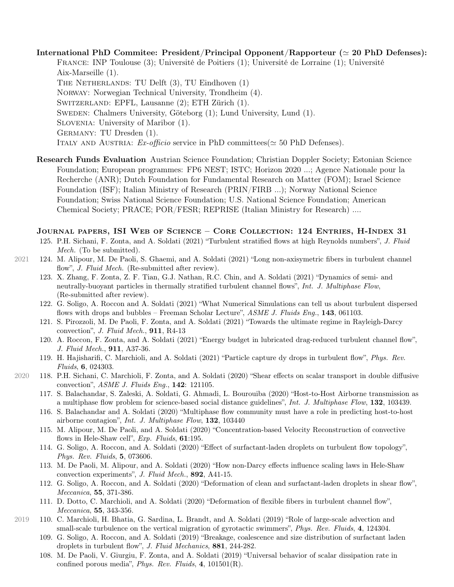International PhD Commitee: President/Principal Opponent/Rapporteur ( $\simeq 20$  PhD Defenses): France: INP Toulouse (3); Université de Poitiers (1); Université de Lorraine (1); Université Aix-Marseille (1). THE NETHERLANDS: TU Delft  $(3)$ , TU Eindhoven  $(1)$ Norway: Norwegian Technical University, Trondheim (4). Switzerland: EPFL, Lausanne (2); ETH Zürich (1). Sweden: Chalmers University, Göteborg (1); Lund University, Lund (1). Slovenia: University of Maribor (1). Germany: TU Dresden (1). ITALY AND AUSTRIA:  $Ex\text{-}officio$  service in PhD committees( $\simeq$  50 PhD Defenses).

Research Funds Evaluation Austrian Science Foundation; Christian Doppler Society; Estonian Science Foundation; European programmes: FP6 NEST; ISTC; Horizon 2020 ...; Agence Nationale pour la Recherche (ANR); Dutch Foundation for Fundamental Research on Matter (FOM); Israel Science Foundation (ISF); Italian Ministry of Research (PRIN/FIRB ...); Norway National Science Foundation; Swiss National Science Foundation; U.S. National Science Foundation; American Chemical Society; PRACE; POR/FESR; REPRISE (Italian Ministry for Research) ....

#### Journal papers, ISI Web of Science – Core Collection: 124 Entries, H-Index 31

- 125. P.H. Sichani, F. Zonta, and A. Soldati (2021) "Turbulent stratified flows at high Reynolds numbers", J. Fluid Mech. (To be submitted).
- 2021 124. M. Alipour, M. De Paoli, S. Ghaemi, and A. Soldati (2021) "Long non-axisymetric fibers in turbulent channel flow", *J. Fluid Mech.* (Re-submitted after review).
	- 123. X. Zhang, F. Zonta, Z. F. Tian, G.J. Nathan, R.C. Chin, and A. Soldati (2021) "Dynamics of semi- and neutrally-buoyant particles in thermally stratified turbulent channel flows", Int. J. Multiphase Flow, (Re-submitted after review).
	- 122. G. Soligo, A. Roccon and A. Soldati (2021) "What Numerical Simulations can tell us about turbulent dispersed flows with drops and bubbles – Freeman Scholar Lecture", ASME J. Fluids Eng., 143, 061103.
	- 121. S. Pirozzoli, M. De Paoli, F. Zonta, and A. Soldati (2021) "Towards the ultimate regime in Rayleigh-Darcy convection", J. Fluid Mech., 911, R4-13
	- 120. A. Roccon, F. Zonta, and A. Soldati (2021) "Energy budget in lubricated drag-reduced turbulent channel flow", J. Fluid Mech., 911, A37-36.
	- 119. H. Hajisharifi, C. Marchioli, and A. Soldati (2021) "Particle capture dy drops in turbulent flow", Phys. Rev. Fluids, 6, 024303.
- 2020 118. P.H. Sichani, C. Marchioli, F. Zonta, and A. Soldati (2020) "Shear effects on scalar transport in double diffusive convection", ASME J. Fluids Eng., 142: 121105.
	- 117. S. Balachandar, S. Zaleski, A. Soldati, G. Ahmadi, L. Bourouiba (2020) "Host-to-Host Airborne transmission as a multiphase flow problem for science-based social distance guidelines", *Int. J. Multiphase Flow*, **132**, 103439.
	- 116. S. Balachandar and A. Soldati (2020) "Multiphase flow community must have a role in predicting host-to-host airborne contagion", Int. J. Multiphase Flow, 132, 103440
	- 115. M. Alipour, M. De Paoli, and A. Soldati (2020) "Concentration-based Velocity Reconstruction of convective flows in Hele-Shaw cell", *Exp. Fluids*, **61**:195.
	- 114. G. Soligo, A. Roccon, and A. Soldati (2020) "Effect of surfactant-laden droplets on turbulent flow topology", Phys. Rev. Fluids, 5, 073606.
	- 113. M. De Paoli, M. Alipour, and A. Soldati (2020) "How non-Darcy effects influence scaling laws in Hele-Shaw convection experiments", J. Fluid Mech., 892, A41-15.
	- 112. G. Soligo, A. Roccon, and A. Soldati (2020) "Deformation of clean and surfactant-laden droplets in shear flow", Meccanica, 55, 371-386.
	- 111. D. Dotto, C. Marchioli, and A. Soldati (2020) "Deformation of flexible fibers in turbulent channel flow", Meccanica, 55, 343-356.
- 2019 110. C. Marchioli, H. Bhatia, G. Sardina, L. Brandt, and A. Soldati (2019) "Role of large-scale advection and small-scale turbulence on the vertical migration of gyrotactic swimmers", Phys. Rev. Fluids, 4, 124304.
	- 109. G. Soligo, A. Roccon, and A. Soldati (2019) "Breakage, coalescence and size distribution of surfactant laden droplets in turbulent flow", J. Fluid Mechanics, 881, 244-282.
	- 108. M. De Paoli, V. Giurgiu, F. Zonta, and A. Soldati (2019) "Universal behavior of scalar dissipation rate in confined porous media", Phys. Rev. Fluids, 4, 101501(R).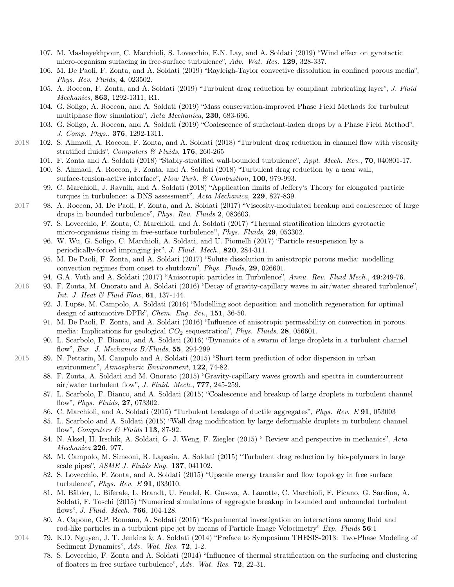- 107. M. Mashayekhpour, C. Marchioli, S. Lovecchio, E.N. Lay, and A. Soldati (2019) "Wind effect on gyrotactic micro-organism surfacing in free-surface turbulence", Adv. Wat. Res. 129, 328-337.
- 106. M. De Paoli, F. Zonta, and A. Soldati (2019) "Rayleigh-Taylor convective dissolution in confined porous media", Phys. Rev. Fluids, 4, 023502.
- 105. A. Roccon, F. Zonta, and A. Soldati (2019) "Turbulent drag reduction by compliant lubricating layer", J. Fluid Mechanics, 863, 1292-1311, R1.
- 104. G. Soligo, A. Roccon, and A. Soldati (2019) "Mass conservation-improved Phase Field Methods for turbulent multiphase flow simulation", Acta Mechanica, 230, 683-696.
- 103. G. Soligo, A. Roccon, and A. Soldati (2019) "Coalescence of surfactant-laden drops by a Phase Field Method", J. Comp. Phys., 376, 1292-1311.
- 2018 102. S. Ahmadi, A. Roccon, F. Zonta, and A. Soldati (2018) "Turbulent drag reduction in channel flow with viscosity stratified fluids", Computers & Fluids,  $176$ , 260-265
	- 101. F. Zonta and A. Soldati (2018) "Stably-stratified wall-bounded turbulence", Appl. Mech. Rev., 70, 040801-17.
	- 100. S. Ahmadi, A. Roccon, F. Zonta, and A. Soldati (2018) "Turbulent drag reduction by a near wall, surface-tension-active interface", Flow Turb. & Combustion, 100, 979-993.
	- 99. C. Marchioli, J. Ravnik, and A. Soldati (2018) "Application limits of Jeffery's Theory for elongated particle torques in turbulence: a DNS assessment", Acta Mechanica, 229, 827-839.
- 2017 98. A. Roccon, M. De Paoli, F. Zonta, and A. Soldati (2017) "Viscosity-modulated breakup and coalescence of large drops in bounded turbulence", Phys. Rev. Fluids 2, 083603.
	- 97. S. Lovecchio, F. Zonta, C. Marchioli, and A. Soldati (2017) "Thermal stratification hinders gyrotactic micro-organisms rising in free-surface turbulence", *Phys. Fluids*, **29**, 053302.
	- 96. W. Wu, G. Soligo, C. Marchioli, A. Soldati, and U. Piomelli (2017) "Particle resuspension by a periodically-forced impinging jet", J. Fluid. Mech., 820, 284-311.
	- 95. M. De Paoli, F. Zonta, and A. Soldati (2017) "Solute dissolution in anisotropic porous media: modelling convection regimes from onset to shutdown", Phys. Fluids, 29, 026601.
	- 94. G.A. Voth and A. Soldati (2017) "Anisotropic particles in Turbulence", Annu. Rev. Fluid Mech., 49:249-76.
- 2016 93. F. Zonta, M. Onorato and A. Soldati (2016) "Decay of gravity-capillary waves in air/water sheared turbulence", Int. J. Heat  $\mathcal B$  Fluid Flow, 61, 137-144.
	- 92. J. Lupše, M. Campolo, A. Soldati (2016) "Modelling soot deposition and monolith regeneration for optimal design of automotive DPFs", Chem. Eng. Sci., 151, 36-50.
	- 91. M. De Paoli, F. Zonta, and A. Soldati (2016) "Influence of anisotropic permeability on convection in porous media: Implications for geological  $CO_2$  sequestration", *Phys. Fluids*, **28**, 056601.
	- 90. L. Scarbolo, F. Bianco, and A. Soldati (2016) "Dynamics of a swarm of large droplets in a turbulent channel flow", Eur. J. Mechanics B/Fluids, 55, 294-299
- 2015 89. N. Pettarin, M. Campolo and A. Soldati (2015) "Short term prediction of odor dispersion in urban environment", Atmospheric Environment, 122, 74-82.
	- 88. F. Zonta, A. Soldati and M. Onorato (2015) "Gravity-capillary waves growth and spectra in countercurrent air/water turbulent flow", J. Fluid. Mech.,  $777$ , 245-259.
	- 87. L. Scarbolo, F. Bianco, and A. Soldati (2015) "Coalescence and breakup of large droplets in turbulent channel flow", Phys. Fluids, 27, 073302.
	- 86. C. Marchioli, and A. Soldati (2015) "Turbulent breakage of ductile aggregates", Phys. Rev. E 91, 053003
	- 85. L. Scarbolo and A. Soldati (2015) "Wall drag modification by large deformable droplets in turbulent channel flow", *Computers & Fluids* **113**, 87-92.
	- 84. N. Aksel, H. Irschik, A. Soldati, G. J. Weng, F. Ziegler (2015) " Review and perspective in mechanics", Acta Mechanica 226, 977.
	- 83. M. Campolo, M. Simeoni, R. Lapasin, A. Soldati (2015) "Turbulent drag reduction by bio-polymers in large scale pipes", ASME J. Fluids Eng. 137, 041102.
	- 82. S. Lovecchio, F. Zonta, and A. Soldati (2015) "Upscale energy transfer and flow topology in free surface turbulence", Phys. Rev. E 91, 033010.
	- 81. M. Bäbler, L. Biferale, L. Brandt, U. Feudel, K. Guseva, A. Lanotte, C. Marchioli, F. Picano, G. Sardina, A. Soldati, F. Toschi (2015) "Numerical simulations of aggregate breakup in bounded and unbounded turbulent flows", J. Fluid. Mech. 766, 104-128.
	- 80. A. Capone, G.P. Romano, A. Soldati (2015) "Experimental investigation on interactions among fluid and rod-like particles in a turbulent pipe jet by means of Particle Image Velocimetry" Exp. Fluids 56:1
- 2014 79. K.D. Nguyen, J. T. Jenkins & A. Soldati (2014) "Preface to Symposium THESIS-2013: Two-Phase Modeling of Sediment Dynamics", Adv. Wat. Res. 72, 1-2.
	- 78. S. Lovecchio, F. Zonta and A. Soldati (2014) "Influence of thermal stratification on the surfacing and clustering of floaters in free surface turbulence", Adv. Wat. Res. 72, 22-31.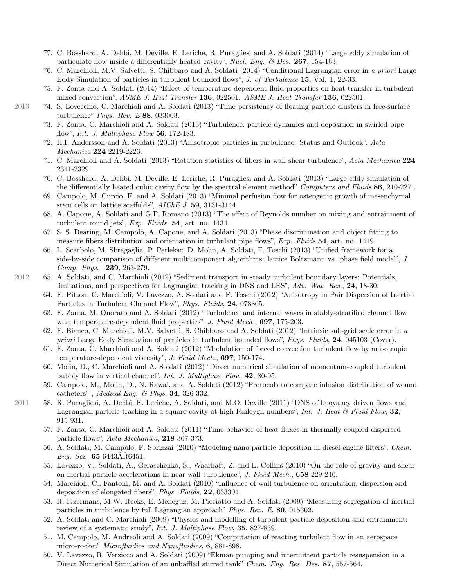- 77. C. Bosshard, A. Dehbi, M. Deville, E. Leriche, R. Puragliesi and A. Soldati (2014) "Large eddy simulation of particulate flow inside a differentially heated cavity", Nucl. Eng. & Des. 267, 154-163.
- 76. C. Marchioli, M.V. Salvetti, S. Chibbaro and A. Soldati (2014) "Conditional Lagrangian error in a priori Large Eddy Simulation of particles in turbulent bounded flows", J. of Turbulence 15, Vol. 1, 22-33.
- 75. F. Zonta and A. Soldati (2014) "Effect of temperature dependent fluid properties on heat transfer in turbulent mixed convection", ASME J. Heat Transfer 136, 022501. ASME J. Heat Transfer 136, 022501.
- 2013 74. S. Lovecchio, C. Marchioli and A. Soldati (2013) "Time persistency of floating particle clusters in free-surface turbulence" Phys. Rev. E 88, 033003.
	- 73. F. Zonta, C. Marchioli and A. Soldati (2013) "Turbulence, particle dynamics and deposition in swirled pipe flow", *Int. J. Multiphase Flow* 56, 172-183.
	- 72. H.I. Andersson and A. Soldati (2013) "Anisotropic particles in turbulence: Status and Outlook", Acta Mechanica 224 2219-2223.
	- 71. C. Marchioli and A. Soldati (2013) "Rotation statistics of fibers in wall shear turbulence", Acta Mechanica 224 2311-2329.
	- 70. C. Bosshard, A. Dehbi, M. Deville, E. Leriche, R. Puragliesi and A. Soldati (2013) "Large eddy simulation of the differentially heated cubic cavity flow by the spectral element method" Computers and Fluids 86, 210-227.
	- 69. Campolo, M. Curcio, F. and A. Soldati (2013) "Minimal perfusion flow for osteogenic growth of mesenchymal stem cells on lattice scaffolds", AIChE J. 59, 3131-3144.
	- 68. A. Capone, A. Soldati and G.P. Romano (2013) "The effect of Reynolds number on mixing and entrainment of turbulent round jets", Exp. Fluids 54, art. no. 1434.
	- 67. S. S. Dearing, M. Campolo, A. Capone, and A. Soldati (2013) "Phase discrimination and object fitting to measure fibers distribution and orientation in turbulent pipe flows", Exp. Fluids 54, art. no. 1419.
	- 66. L. Scarbolo, M. Sbragaglia, P. Perlekar, D. Molin, A. Soldati, F. Toschi (2013) "Unified framework for a side-by-side comparison of different multicomponent algorithms: lattice Boltzmann vs. phase field model", J. Comp. Phys. 239, 263-279.
- 2012 65. A. Soldati, and C. Marchioli (2012) "Sediment transport in steady turbulent boundary layers: Potentials, limitations, and perspectives for Lagrangian tracking in DNS and LES", Adv. Wat. Res., 24, 18-30.
	- 64. E. Pitton, C. Marchioli, V. Lavezzo, A. Soldati and F. Toschi (2012) "Anisotropy in Pair Dispersion of Inertial Particles in Turbulent Channel Flow", Phys. Fluids, 24, 073305.
	- 63. F. Zonta, M. Onorato and A. Soldati (2012) "Turbulence and internal waves in stably-stratified channel flow with temperature-dependent fluid properties", J. Fluid Mech, 697, 175-203.
	- 62. F. Bianco, C. Marchioli, M.V. Salvetti, S. Chibbaro and A. Soldati (2012) "Intrinsic sub-grid scale error in a priori Large Eddy Simulation of particles in turbulent bounded flows", Phys. Fluids, 24, 045103 (Cover).
	- 61. F. Zonta, C. Marchioli and A. Soldati (2012) "Modulation of forced convection turbulent flow by anisotropic temperature-dependent viscosity", J. Fluid Mech., 697, 150-174.
	- 60. Molin, D., C. Marchioli and A. Soldati (2012) "Direct numerical simulation of momentum-coupled turbulent bubbly flow in vertical channel", Int. J. Multiphase Flow, 42, 80-95.
	- 59. Campolo, M., Molin, D., N. Rawal, and A. Soldati (2012) "Protocols to compare infusion distribution of wound catheters" , Medical Eng. & Phys, 34, 326-332.
- 2011 58. R. Puragliesi, A. Dehbi, E. Leriche, A. Soldati, and M.O. Deville (2011) "DNS of buoyancy driven flows and Lagrangian particle tracking in a square cavity at high Raileygh numbers", Int. J. Heat & Fluid Flow,  $32$ , 915-931.
	- 57. F. Zonta, C. Marchioli and A. Soldati (2011) "Time behavior of heat fluxes in thermally-coupled dispersed particle flows", Acta Mechanica, 218 367-373.
	- 56. A. Soldati, M. Campolo, F. Sbrizzai (2010) "Modeling nano-particle deposition in diesel engine filters", Chem.  $Eng.~ Sci., 65~6443\AA R6451.$
	- 55. Lavezzo, V., Soldati, A., Geraschenko, S., Waarhaft, Z. and L. Collins (2010) "On the role of gravity and shear on inertial particle accelerations in near-wall turbulence", J. Fluid Mech., 658 229-246.
	- 54. Marchioli, C., Fantoni, M. and A. Soldati (2010) "Influence of wall turbulence on orientation, dispersion and deposition of elongated fibers", Phys. Fluids, 22, 033301.
	- 53. R. IJzermans, M.W. Reeks, E. Meneguz, M. Picciotto and A. Soldati (2009) "Measuring segregation of inertial particles in turbulence by full Lagrangian approach" Phys. Rev. E, 80, 015302.
	- 52. A. Soldati and C. Marchioli (2009) "Physics and modelling of turbulent particle deposition and entrainment: review of a systematic study", Int. J. Multiphase Flow, 35, 827-839.
	- 51. M. Campolo, M. Andreoli and A. Soldati (2009) "Computation of reacting turbulent flow in an aerospace micro-rocket" Microfluidics and Nanofluidics, 6, 881-898.
	- 50. V. Lavezzo, R. Verzicco and A. Soldati (2009) "Ekman pumping and intermittent particle resuspension in a Direct Numerical Simulation of an unbaffled stirred tank" Chem. Eng. Res. Des. 87, 557-564.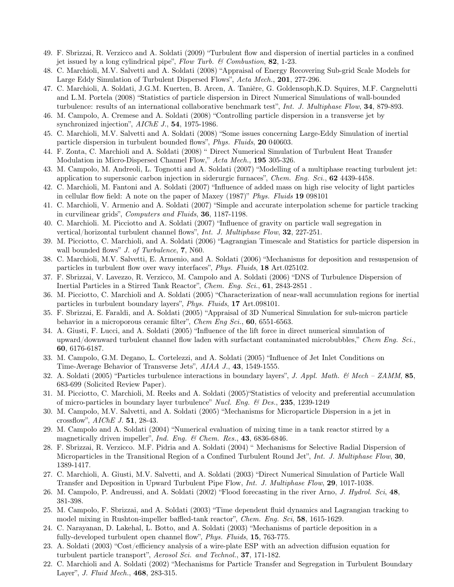- 49. F. Sbrizzai, R. Verzicco and A. Soldati (2009) "Turbulent flow and dispersion of inertial particles in a confined jet issued by a long cylindrical pipe", Flow Turb.  $\mathcal C$  Combustion, 82, 1-23.
- 48. C. Marchioli, M.V. Salvetti and A. Soldati (2008) "Appraisal of Energy Recovering Sub-grid Scale Models for Large Eddy Simulation of Turbulent Dispersed Flows", Acta Mech., 201, 277-296.
- 47. C. Marchioli, A. Soldati, J.G.M. Kuerten, B. Arcen, A. Tanière, G. Goldensoph,K.D. Squires, M.F. Cargnelutti and L.M. Portela (2008) "Statistics of particle dispersion in Direct Numerical Simulations of wall-bounded turbulence: results of an international collaborative benchmark test", Int. J. Multiphase Flow, 34, 879-893.
- 46. M. Campolo, A. Cremese and A. Soldati (2008) "Controlling particle dispersion in a transverse jet by synchronized injection", AIChE J., 54, 1975-1986.
- 45. C. Marchioli, M.V. Salvetti and A. Soldati (2008) "Some issues concerning Large-Eddy Simulation of inertial particle dispersion in turbulent bounded flows", Phys. Fluids, 20 040603.
- 44. F. Zonta, C. Marchioli and A. Soldati (2008) " Direct Numerical Simulation of Turbulent Heat Transfer Modulation in Micro-Dispersed Channel Flow," Acta Mech., 195 305-326.
- 43. M. Campolo, M. Andreoli, L. Tognotti and A. Soldati (2007) "Modelling of a multiphase reacting turbulent jet: application to supersonic carbon injection in siderurgic furnaces", Chem. Eng. Sci., 62 4439-4458.
- 42. C. Marchioli, M. Fantoni and A. Soldati (2007) "Influence of added mass on high rise velocity of light particles in cellular flow field: A note on the paper of Maxey (1987)" Phys. Fluids 19 098101
- 41. C. Marchioli, V. Armenio and A. Soldati (2007) "Simple and accurate interpolation scheme for particle tracking in curvilinear grids", Computers and Fluids, 36, 1187-1198.
- 40. C. Marchioli. M. Picciotto and A. Soldati (2007) "Influence of gravity on particle wall segregation in vertical/horizontal turbulent channel flows", *Int. J. Multiphase Flow*, **32**, 227-251.
- 39. M. Picciotto, C. Marchioli, and A. Soldati (2006) "Lagrangian Timescale and Statistics for particle dispersion in wall bounded flows" *J. of Turbulence*, 7, N60.
- 38. C. Marchioli, M.V. Salvetti, E. Armenio, and A. Soldati (2006) "Mechanisms for deposition and resuspension of particles in turbulent flow over wavy interfaces", Phys. Fluids, 18 Art.025102.
- 37. F. Sbrizzai, V. Lavezzo, R. Verzicco, M. Campolo and A. Soldati (2006) "DNS of Turbulence Dispersion of Inertial Particles in a Stirred Tank Reactor", Chem. Eng. Sci., 61, 2843-2851.
- 36. M. Picciotto, C. Marchioli and A. Soldati (2005) "Characterization of near-wall accumulation regions for inertial particles in turbulent boundary layers", Phys. Fluids, 17 Art.098101.
- 35. F. Sbrizzai, E. Faraldi, and A. Soldati (2005) "Appraisal of 3D Numerical Simulation for sub-micron particle behavior in a microporous ceramic filter", Chem Eng Sci., 60, 6551-6563.
- 34. A. Giusti, F. Lucci, and A. Soldati (2005) "Influence of the lift force in direct numerical simulation of upward/downward turbulent channel flow laden with surfactant contaminated microbubbles," Chem Eng. Sci., 60, 6176-6187.
- 33. M. Campolo, G.M. Degano, L. Cortelezzi, and A. Soldati (2005) "Influence of Jet Inlet Conditions on Time-Average Behavior of Transverse Jets", AIAA J., 43, 1549-1555.
- 32. A. Soldati (2005) "Particles turbulence interactions in boundary layers", J. Appl. Math.  $\&$  Mech ZAMM, 85, 683-699 (Solicited Review Paper).
- 31. M. Picciotto, C. Marchioli, M. Reeks and A. Soldati (2005)"Statistics of velocity and preferential accumulation of micro-particles in boundary layer turbulence" Nucl. Eng.  $\&$  Des., 235, 1239-1249
- 30. M. Campolo, M.V. Salvetti, and A. Soldati (2005) "Mechanisms for Microparticle Dispersion in a jet in crossflow", AIChE J. 51, 28-43.
- 29. M. Campolo and A. Soldati (2004) "Numerical evaluation of mixing time in a tank reactor stirred by a magnetically driven impeller", Ind. Eng. & Chem. Res., 43, 6836-6846.
- 28. F. Sbrizzai, R. Verzicco. M.F. Pidria and A. Soldati (2004) " Mechanisms for Selective Radial Dispersion of Microparticles in the Transitional Region of a Confined Turbulent Round Jet", Int. J. Multiphase Flow, 30, 1389-1417.
- 27. C. Marchioli, A. Giusti, M.V. Salvetti, and A. Soldati (2003) "Direct Numerical Simulation of Particle Wall Transfer and Deposition in Upward Turbulent Pipe Flow, Int. J. Multiphase Flow, 29, 1017-1038.
- 26. M. Campolo, P. Andreussi, and A. Soldati (2002) "Flood forecasting in the river Arno, J. Hydrol. Sci, 48, 381-398.
- 25. M. Campolo, F. Sbrizzai, and A. Soldati (2003) "Time dependent fluid dynamics and Lagrangian tracking to model mixing in Rushton-impeller baffled-tank reactor", Chem. Eng. Sci, 58, 1615-1629.
- 24. C. Narayanan, D. Lakehal, L. Botto, and A. Soldati (2003) "Mechanisms of particle deposition in a fully-developed turbulent open channel flow", Phys. Fluids, 15, 763-775.
- 23. A. Soldati (2003) "Cost/efficiency analysis of a wire-plate ESP with an advection diffusion equation for turbulent particle transport", Aerosol Sci. and Technol., 37, 171-182.
- 22. C. Marchioli and A. Soldati (2002) "Mechanisms for Particle Transfer and Segregation in Turbulent Boundary Layer", J. Fluid Mech., 468, 283-315.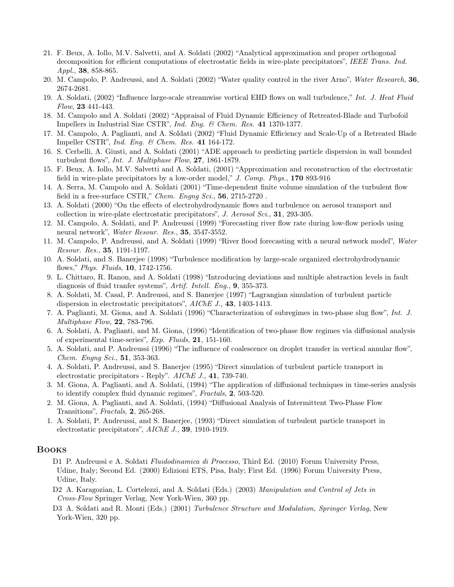- 21. F. Beux, A. Iollo, M.V. Salvetti, and A. Soldati (2002) "Analytical approximation and proper orthogonal decomposition for efficient computations of electrostatic fields in wire-plate precipitators", IEEE Trans. Ind. Appl., 38, 858-865.
- 20. M. Campolo, P. Andreussi, and A. Soldati (2002) "Water quality control in the river Arno", Water Research, 36, 2674-2681.
- 19. A. Soldati, (2002) "Influence large-scale streamwise vortical EHD flows on wall turbulence," Int. J. Heat Fluid Flow, 23 441-443.
- 18. M. Campolo and A. Soldati (2002) "Appraisal of Fluid Dynamic Efficiency of Retreated-Blade and Turbofoil Impellers in Industrial Size CSTR", Ind. Eng. & Chem. Res. 41 1370-1377.
- 17. M. Campolo, A. Paglianti, and A. Soldati (2002) "Fluid Dynamic Efficiency and Scale-Up of a Retreated Blade Impeller CSTR", Ind. Eng. & Chem. Res. 41 164-172.
- 16. S. Cerbelli, A. Giusti, and A. Soldati (2001) "ADE approach to predicting particle dispersion in wall bounded turbulent flows", *Int. J. Multiphase Flow*, **27**, 1861-1879.
- 15. F. Beux, A. Iollo, M.V. Salvetti and A. Soldati, (2001) "Approximation and reconstruction of the electrostatic field in wire-plate precipitators by a low-order model," J. Comp. Phys., 170 893-916
- 14. A. Serra, M. Campolo and A. Soldati (2001) "Time-dependent finite volume simulation of the turbulent flow field in a free-surface CSTR," Chem. Engng Sci., 56, 2715-2720 .
- 13. A. Soldati (2000) "On the effects of electrohydrodynamic flows and turbulence on aerosol transport and collection in wire-plate electrostatic precipitators", J. Aerosol Sci., 31, 293-305.
- 12. M. Campolo, A. Soldati, and P. Andreussi (1999) "Forecasting river flow rate during low-flow periods using neural network", Water Resour. Res., 35, 3547-3552.
- 11. M. Campolo, P. Andreussi, and A. Soldati (1999) "River flood forecasting with a neural network model", Water Resour. Res., 35, 1191-1197.
- 10. A. Soldati, and S. Banerjee (1998) "Turbulence modification by large-scale organized electrohydrodynamic flows," Phys. Fluids, 10, 1742-1756.
- 9. L. Chittaro, R. Ranon, and A. Soldati (1998) "Introducing deviations and multiple abstraction levels in fault diagnosis of fluid tranfer systems", Artif. Intell. Eng., 9, 355-373.
- 8. A. Soldati, M. Casal, P. Andreussi, and S. Banerjee (1997) "Lagrangian simulation of turbulent particle dispersion in electrostatic precipitators", AIChE J., 43, 1403-1413.
- 7. A. Paglianti, M. Giona, and A. Soldati (1996) "Characterization of subregimes in two-phase slug flow", Int. J. Multiphase Flow, 22, 783-796.
- 6. A. Soldati, A. Paglianti, and M. Giona, (1996) "Identification of two-phase flow regimes via diffusional analysis of experimental time-series", Exp. Fluids, 21, 151-160.
- 5. A. Soldati, and P. Andreussi (1996) "The influence of coalescence on droplet transfer in vertical annular flow", Chem. Engng Sci., 51, 353-363.
- 4. A. Soldati, P. Andreussi, and S. Banerjee (1995) "Direct simulation of turbulent particle transport in electrostatic precipitators - Reply". AIChE J., 41, 739-740.
- 3. M. Giona, A. Paglianti, and A. Soldati, (1994) "The application of diffusional techniques in time-series analysis to identify complex fluid dynamic regimes", Fractals, 2, 503-520.
- 2. M. Giona, A. Paglianti, and A. Soldati, (1994) "Diffusional Analysis of Intermittent Two-Phase Flow Transitions", Fractals, 2, 265-268.
- 1. A. Soldati, P. Andreussi, and S. Banerjee, (1993) "Direct simulation of turbulent particle transport in electrostatic precipitators", AIChE J., 39, 1910-1919.

#### Books

- D1 P. Andreussi e A. Soldati Fluidodinamica di Processo, Third Ed. (2010) Forum University Press, Udine, Italy; Second Ed. (2000) Edizioni ETS, Pisa, Italy; First Ed. (1996) Forum University Press, Udine, Italy.
- D2 A. Karagozian, L. Cortelezzi, and A. Soldati (Eds.) (2003) Manipulation and Control of Jets in Cross-Flow Springer Verlag, New York-Wien, 360 pp.
- D3 A. Soldati and R. Monti (Eds.) (2001) Turbulence Structure and Modulation, Springer Verlag, New York-Wien, 320 pp.